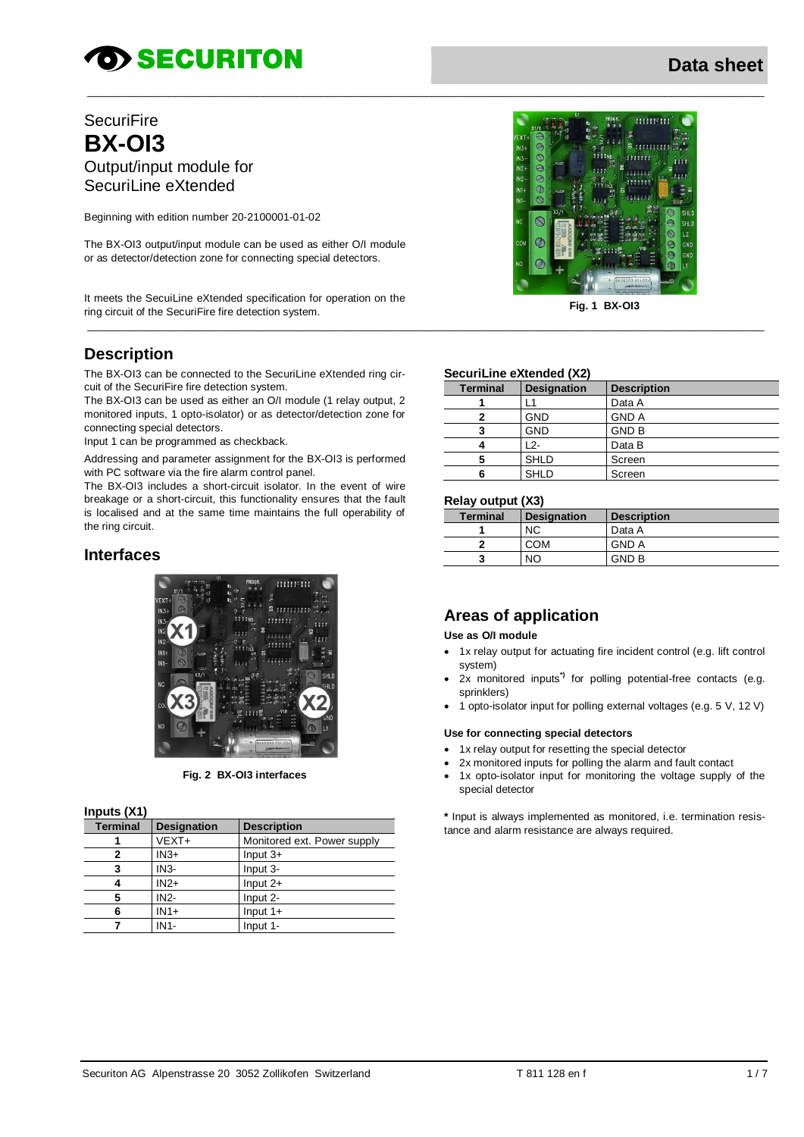# **OD SECURITON**

### **Data sheet**

### **SecuriFire BX-OI3** Output/input module for SecuriLine eXtended

Beginning with edition number 20-2100001-01-02

The BX-OI3 output/input module can be used as either O/I module or as detector/detection zone for connecting special detectors.

It meets the SecuiLine eXtended specification for operation on the ring circuit of the SecuriFire fire detection system. **Fig. 1 BX-OI3**

### **Description**

The BX-OI3 can be connected to the SecuriLine eXtended ring circuit of the SecuriFire fire detection system.

The BX-OI3 can be used as either an O/I module (1 relay output, 2 monitored inputs, 1 opto-isolator) or as detector/detection zone for connecting special detectors.

Input 1 can be programmed as checkback.

Addressing and parameter assignment for the BX-OI3 is performed with PC software via the fire alarm control panel.

The BX-OI3 includes a short-circuit isolator. In the event of wire breakage or a short-circuit, this functionality ensures that the fault is localised and at the same time maintains the full operability of the ring circuit.

### **Interfaces**



**Fig. 2 BX-OI3 interfaces**

#### **Inputs (X1)**

| <b>Terminal</b> | <b>Designation</b> | <b>Description</b>          |
|-----------------|--------------------|-----------------------------|
|                 | $VEXT+$            | Monitored ext. Power supply |
| 2               | $IN3+$             | Input $3+$                  |
| 3               | $IN3-$             | Input 3-                    |
|                 | $IN2+$             | Input $2+$                  |
| 5               | $IN2-$             | Input 2-                    |
| 6               | $IN1+$             | Input $1+$                  |
|                 | $IN1-$             | Input 1-                    |



### **Securil ine eXtended (X2)**

\_\_\_\_\_\_\_\_\_\_\_\_\_\_\_\_\_\_\_\_\_\_\_\_\_\_\_\_\_\_\_\_\_\_\_\_\_\_\_\_\_\_\_\_\_\_\_\_\_\_\_\_\_\_\_\_\_\_\_\_\_\_\_\_\_\_\_\_\_\_\_\_\_\_\_\_\_\_\_\_\_\_\_\_\_\_\_\_\_\_\_\_\_\_\_\_\_\_\_\_\_\_\_\_\_\_\_\_\_\_\_\_\_\_\_\_

 $\_$  , and the set of the set of the set of the set of the set of the set of the set of the set of the set of the set of the set of the set of the set of the set of the set of the set of the set of the set of the set of th

| <b>Terminal</b> | <b>Designation</b> | <b>Description</b> |
|-----------------|--------------------|--------------------|
|                 |                    | Data A             |
|                 | GND                | <b>GND A</b>       |
| 3               | <b>GND</b>         | <b>GND B</b>       |
|                 | 12-                | Data B             |
| 5               | <b>SHLD</b>        | Screen             |
|                 | <b>SHLD</b>        | Screen             |

#### **Relay output (X3)**

| <b>Terminal</b> | <b>Designation</b> | <b>Description</b> |
|-----------------|--------------------|--------------------|
|                 | NC                 | Data A             |
|                 | COM                | <b>GND A</b>       |
|                 | NC                 | <b>GND B</b>       |

### **Areas of application**

#### **Use as O/I module**

- 1x relay output for actuating fire incident control (e.g. lift control system)
- 2x monitored inputs**\*)** for polling potential-free contacts (e.g. sprinklers)
- 1 opto-isolator input for polling external voltages (e.g. 5 V, 12 V)

#### **Use for connecting special detectors**

- 1x relay output for resetting the special detector
- 2x monitored inputs for polling the alarm and fault contact
- 1x opto-isolator input for monitoring the voltage supply of the special detector

**\*** Input is always implemented as monitored, i.e. termination resistance and alarm resistance are always required.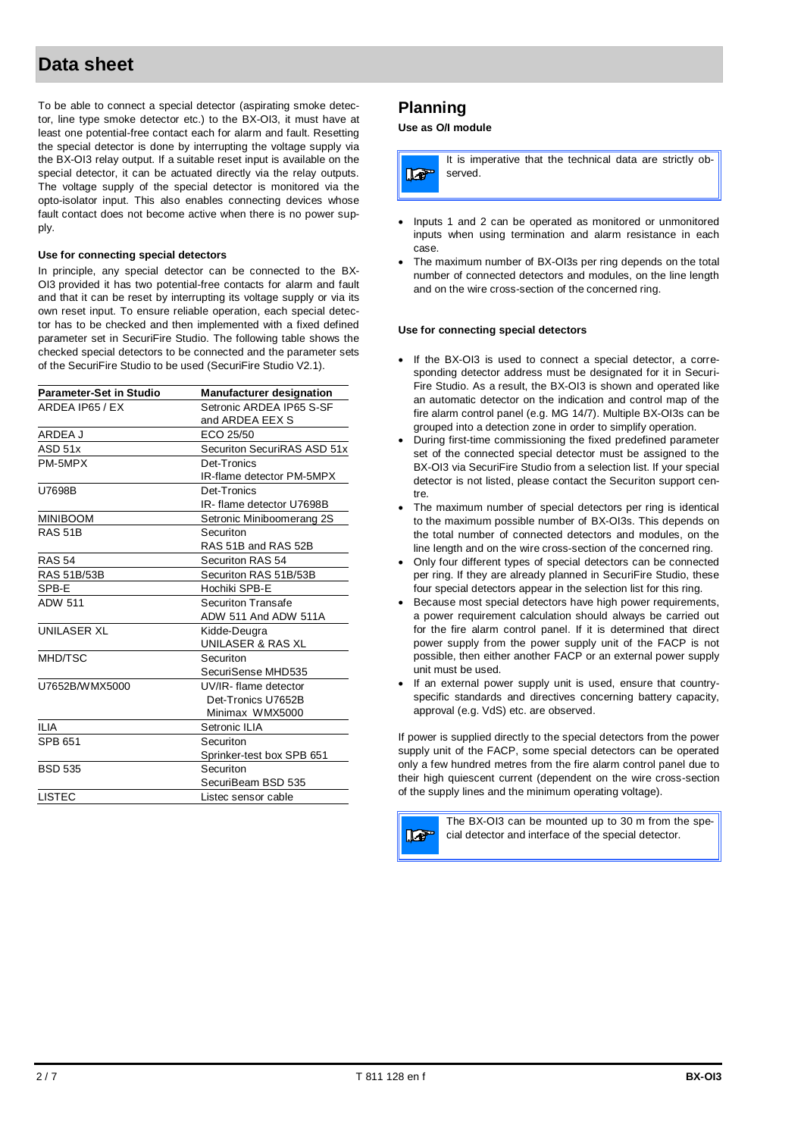To be able to connect a special detector (aspirating smoke detector, line type smoke detector etc.) to the BX-OI3, it must have at least one potential-free contact each for alarm and fault. Resetting the special detector is done by interrupting the voltage supply via the BX-OI3 relay output. If a suitable reset input is available on the special detector, it can be actuated directly via the relay outputs. The voltage supply of the special detector is monitored via the opto-isolator input. This also enables connecting devices whose fault contact does not become active when there is no power supply.

#### **Use for connecting special detectors**

In principle, any special detector can be connected to the BX-OI3 provided it has two potential-free contacts for alarm and fault and that it can be reset by interrupting its voltage supply or via its own reset input. To ensure reliable operation, each special detector has to be checked and then implemented with a fixed defined parameter set in SecuriFire Studio. The following table shows the checked special detectors to be connected and the parameter sets of the SecuriFire Studio to be used (SecuriFire Studio V2.1).

| <b>Parameter-Set in Studio</b> | <b>Manufacturer designation</b> |
|--------------------------------|---------------------------------|
| ARDEA IP65 / EX                | Setronic ARDEA IP65 S-SF        |
|                                | and ARDEA EEX S                 |
| ARDEA J                        | ECO 25/50                       |
| ASD 51x                        | Securiton SecuriRAS ASD 51x     |
| PM-5MPX                        | Det-Tronics                     |
|                                | IR-flame detector PM-5MPX       |
| U7698B                         | Det-Tronics                     |
|                                | IR- flame detector U7698B       |
| <b>MINIBOOM</b>                | Setronic Miniboomerang 2S       |
| <b>RAS 51B</b>                 | Securiton                       |
|                                | RAS 51B and RAS 52B             |
| <b>RAS 54</b>                  | Securiton RAS 54                |
| RAS 51B/53B                    | Securiton RAS 51B/53B           |
| SPB-E                          | Hochiki SPB-E                   |
| <b>ADW 511</b>                 | <b>Securiton Transafe</b>       |
|                                | ADW 511 And ADW 511A            |
| <b>UNILASER XL</b>             | Kidde-Deugra                    |
|                                | UNILASER & RAS XL               |
| MHD/TSC                        | Securiton                       |
|                                | SecuriSense MHD535              |
| U7652B/WMX5000                 | UV/IR-flame detector            |
|                                | Det-Tronics U7652B              |
|                                | Minimax WMX5000                 |
| II IA                          | Setronic ILIA                   |
| <b>SPB 651</b>                 | Securiton                       |
|                                | Sprinker-test box SPB 651       |
| <b>BSD 535</b>                 | Securiton                       |
|                                | SecuriBeam BSD 535              |
| <b>LISTEC</b>                  | Listec sensor cable             |
|                                |                                 |

### **Planning**

#### **Use as O/I module**

|                | It is imperative that the technical data are strictly ob- |
|----------------|-----------------------------------------------------------|
| $\blacksquare$ | served.                                                   |
|                |                                                           |

- Inputs 1 and 2 can be operated as monitored or unmonitored inputs when using termination and alarm resistance in each case.
- The maximum number of BX-OI3s per ring depends on the total number of connected detectors and modules, on the line length and on the wire cross-section of the concerned ring.

#### **Use for connecting special detectors**

- If the BX-OI3 is used to connect a special detector, a corresponding detector address must be designated for it in Securi-Fire Studio. As a result, the BX-OI3 is shown and operated like an automatic detector on the indication and control map of the fire alarm control panel (e.g. MG 14/7). Multiple BX-OI3s can be grouped into a detection zone in order to simplify operation.
- During first-time commissioning the fixed predefined parameter set of the connected special detector must be assigned to the BX-OI3 via SecuriFire Studio from a selection list. If your special detector is not listed, please contact the Securiton support centre.
- The maximum number of special detectors per ring is identical to the maximum possible number of BX-OI3s. This depends on the total number of connected detectors and modules, on the line length and on the wire cross-section of the concerned ring.
- Only four different types of special detectors can be connected per ring. If they are already planned in SecuriFire Studio, these four special detectors appear in the selection list for this ring.
- **Because most special detectors have high power requirements,** a power requirement calculation should always be carried out for the fire alarm control panel. If it is determined that direct power supply from the power supply unit of the FACP is not possible, then either another FACP or an external power supply unit must be used.
- If an external power supply unit is used, ensure that countryspecific standards and directives concerning battery capacity, approval (e.g. VdS) etc. are observed.

If power is supplied directly to the special detectors from the power supply unit of the FACP, some special detectors can be operated only a few hundred metres from the fire alarm control panel due to their high quiescent current (dependent on the wire cross-section of the supply lines and the minimum operating voltage).

**To** 

The BX-OI3 can be mounted up to 30 m from the special detector and interface of the special detector.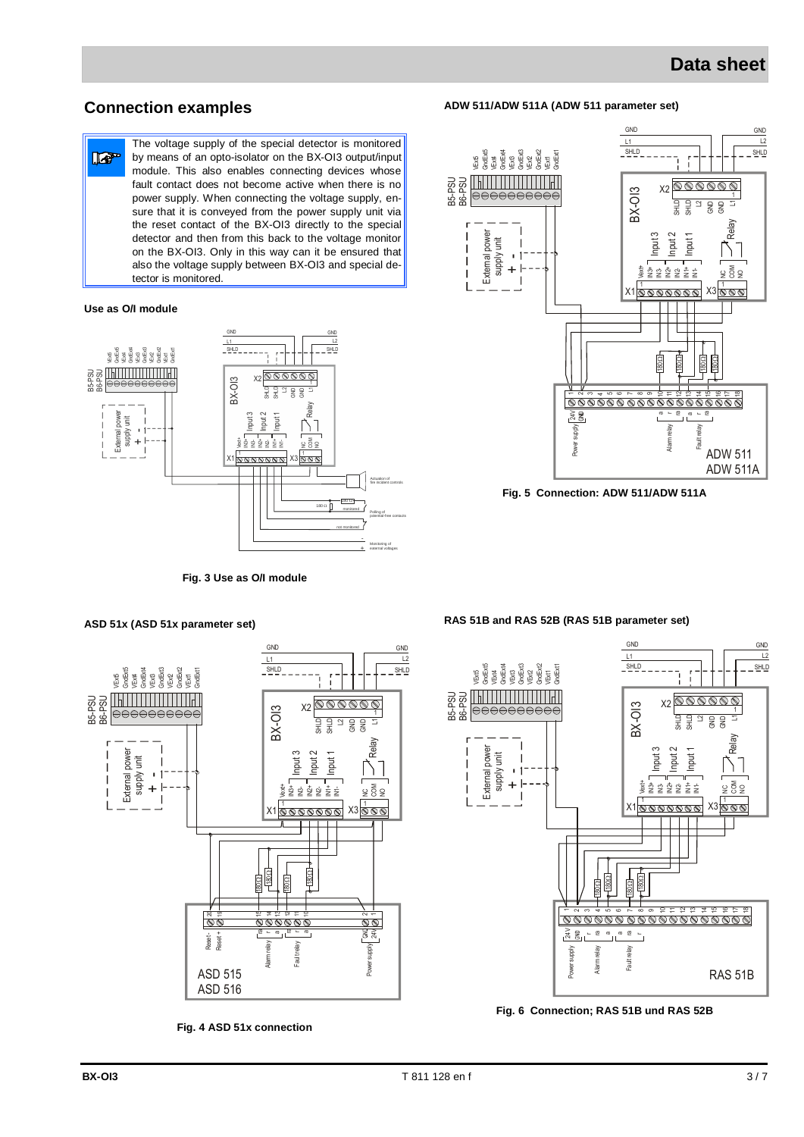### **Connection examples**

The voltage supply of the special detector is monitored  $\mathbb{F}$ by means of an opto-isolator on the BX-OI3 output/input module. This also enables connecting devices whose fault contact does not become active when there is no power supply. When connecting the voltage supply, ensure that it is conveyed from the power supply unit via the reset contact of the BX-OI3 directly to the special detector and then from this back to the voltage monitor on the BX-OI3. Only in this way can it be ensured that also the voltage supply between BX-OI3 and special detector is monitored.

#### **Use as O/I module**



**Fig. 3 Use as O/I module**



**ADW 511/ADW 511A (ADW 511 parameter set)**

**Fig. 5 Connection: ADW 511/ADW 511A**



**Fig. 4 ASD 51x connection**

#### **RAS 51B and RAS 52B (RAS 51B parameter set)**



**Fig. 6 Connection; RAS 51B und RAS 52B**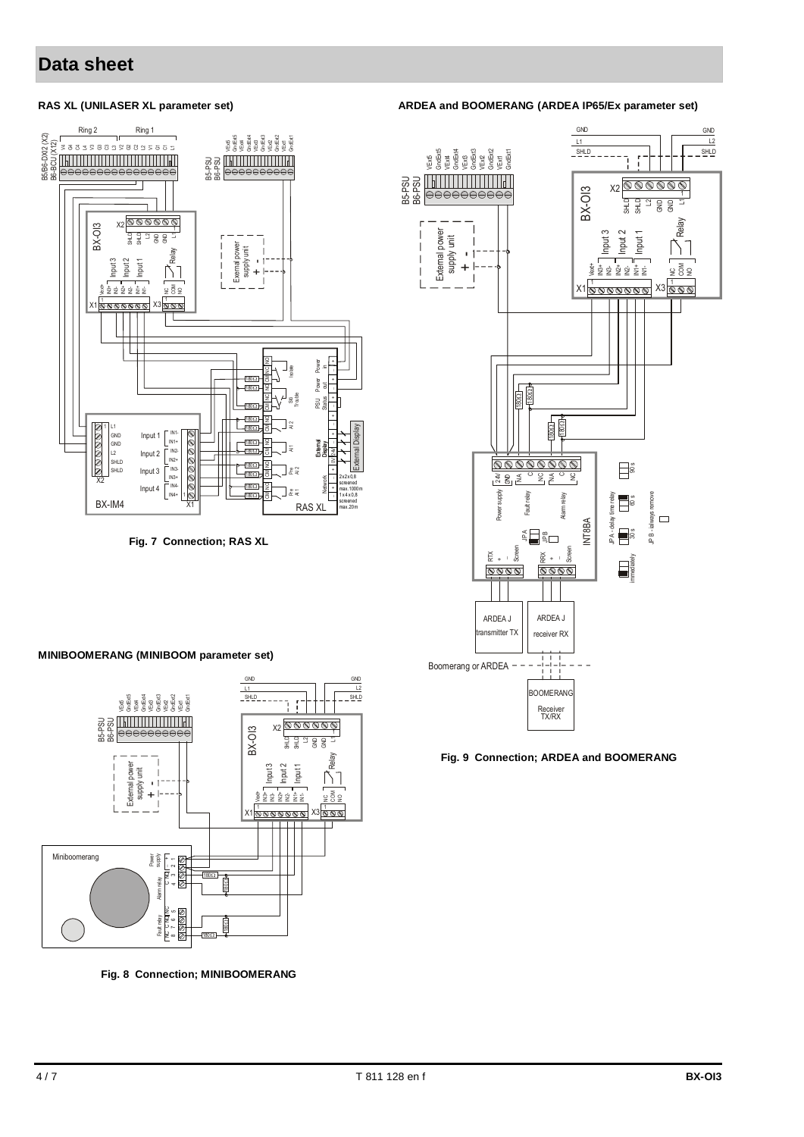#### **RAS XL (UNILASER XL parameter set)**



**Fig. 7 Connection; RAS XL**

#### **ARDEA and BOOMERANG (ARDEA IP65/Ex parameter set)**



#### **Fig. 9 Connection; ARDEA and BOOMERANG**

#### **MINIBOOMERANG (MINIBOOM parameter set)**



**Fig. 8 Connection; MINIBOOMERANG**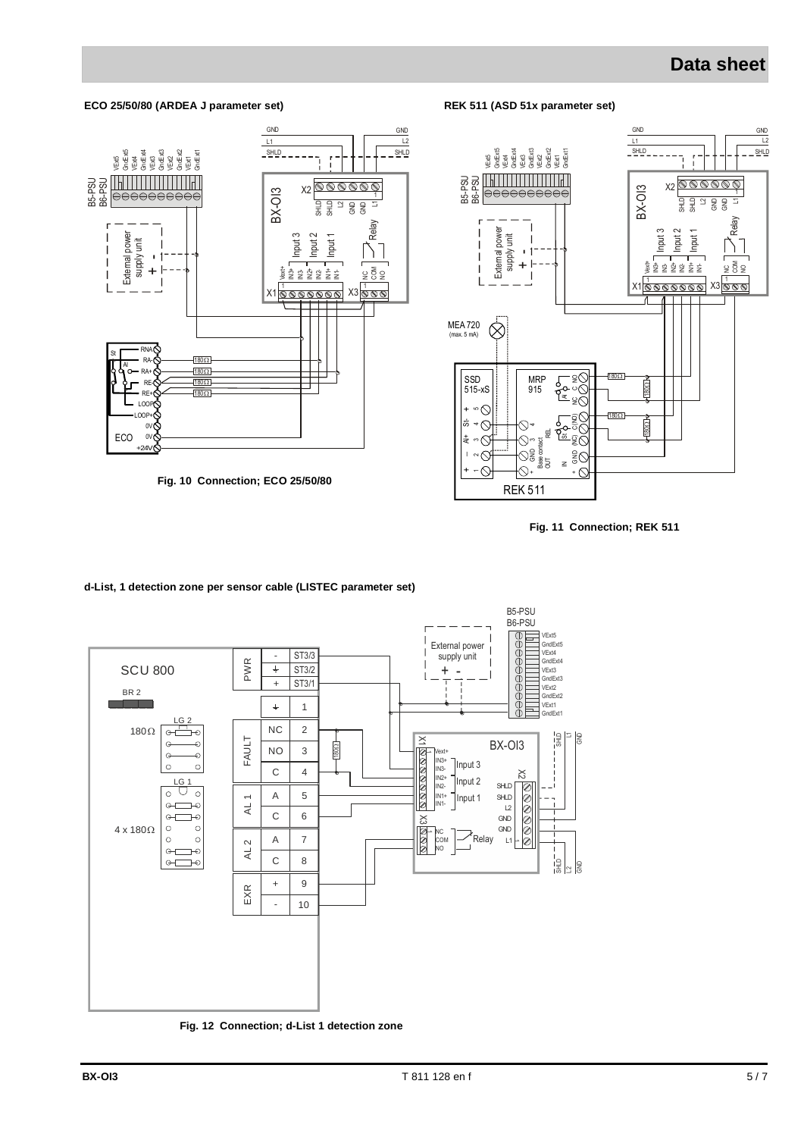#### **ECO 25/50/80 (ARDEA J parameter set)**



**Fig. 10 Connection; ECO 25/50/80**



**Fig. 11 Connection; REK 511**



#### **d-List, 1 detection zone per sensor cable (LISTEC parameter set)**

**Fig. 12 Connection; d-List 1 detection zone**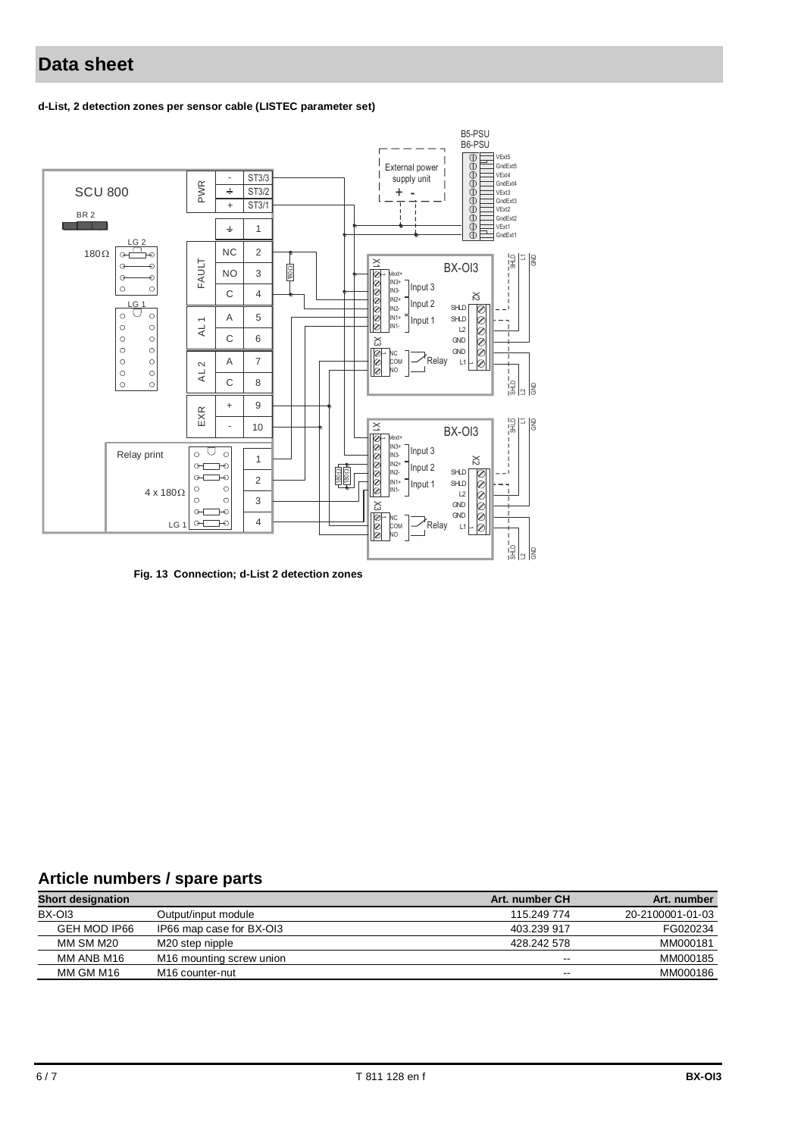#### **d-List, 2 detection zones per sensor cable (LISTEC parameter set)**



**Fig. 13 Connection; d-List 2 detection zones**

### **Article numbers / spare parts**

| <b>Short designation</b> |                                      | Art. number CH | Art. number      |
|--------------------------|--------------------------------------|----------------|------------------|
| BX-OI3                   | Output/input module                  | 115.249 774    | 20-2100001-01-03 |
| GEH MOD IP66             | IP66 map case for BX-OI3             | 403.239 917    | FG020234         |
| MM SM M20                | M20 step nipple                      | 428.242 578    | MM000181         |
| MM ANB M16               | M <sub>16</sub> mounting screw union | $-$            | MM000185         |
| MM GM M16                | M <sub>16</sub> counter-nut          | $- -$          | MM000186         |